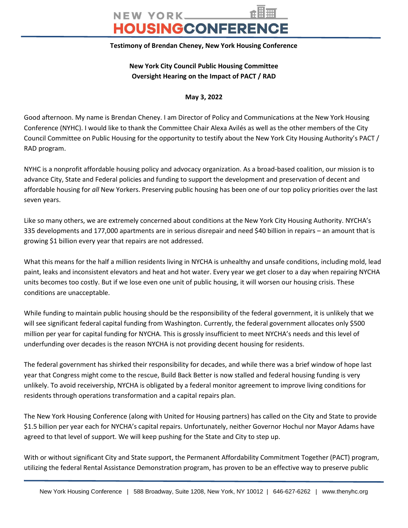## NEW YORK HOUSINGCONFERENCE

## **Testimony of Brendan Cheney, New York Housing Conference**

## **New York City Council Public Housing Committee Oversight Hearing on the Impact of PACT / RAD**

**May 3, 2022**

Good afternoon. My name is Brendan Cheney. I am Director of Policy and Communications at the New York Housing Conference (NYHC). I would like to thank the Committee Chair Alexa Avilés as well as the other members of the City Council Committee on Public Housing for the opportunity to testify about the New York City Housing Authority's PACT / RAD program.

NYHC is a nonprofit affordable housing policy and advocacy organization. As a broad-based coalition, our mission is to advance City, State and Federal policies and funding to support the development and preservation of decent and affordable housing for *all* New Yorkers. Preserving public housing has been one of our top policy priorities over the last seven years.

Like so many others, we are extremely concerned about conditions at the New York City Housing Authority. NYCHA's 335 developments and 177,000 apartments are in serious disrepair and need \$40 billion in repairs – an amount that is growing \$1 billion every year that repairs are not addressed.

What this means for the half a million residents living in NYCHA is unhealthy and unsafe conditions, including mold, lead paint, leaks and inconsistent elevators and heat and hot water. Every year we get closer to a day when repairing NYCHA units becomes too costly. But if we lose even one unit of public housing, it will worsen our housing crisis. These conditions are unacceptable.

While funding to maintain public housing should be the responsibility of the federal government, it is unlikely that we will see significant federal capital funding from Washington. Currently, the federal government allocates only \$500 million per year for capital funding for NYCHA. This is grossly insufficient to meet NYCHA's needs and this level of underfunding over decades is the reason NYCHA is not providing decent housing for residents.

The federal government has shirked their responsibility for decades, and while there was a brief window of hope last year that Congress might come to the rescue, Build Back Better is now stalled and federal housing funding is very unlikely. To avoid receivership, NYCHA is obligated by a federal monitor agreement to improve living conditions for residents through operations transformation and a capital repairs plan.

The New York Housing Conference (along with United for Housing partners) has called on the City and State to provide \$1.5 billion per year each for NYCHA's capital repairs. Unfortunately, neither Governor Hochul nor Mayor Adams have agreed to that level of support. We will keep pushing for the State and City to step up.

With or without significant City and State support, the Permanent Affordability Commitment Together (PACT) program, utilizing the federal Rental Assistance Demonstration program, has proven to be an effective way to preserve public